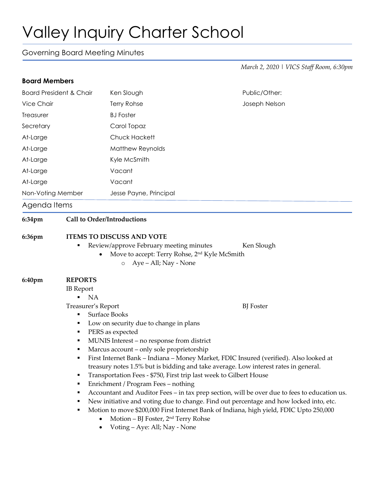## Valley Inquiry Charter School

Governing Board Meeting Minutes

*March 2, 2020 | VICS Staff Room, 6:30pm*

| <b>Board Members</b>                         |                                                                                                                                                                                                                                                                                                                                                                                                                                                                                                                                                                                                                                                                                                                                                                                                                                                                                                                                                                     |                                                                                                                                          |               |                   |  |                        |  |
|----------------------------------------------|---------------------------------------------------------------------------------------------------------------------------------------------------------------------------------------------------------------------------------------------------------------------------------------------------------------------------------------------------------------------------------------------------------------------------------------------------------------------------------------------------------------------------------------------------------------------------------------------------------------------------------------------------------------------------------------------------------------------------------------------------------------------------------------------------------------------------------------------------------------------------------------------------------------------------------------------------------------------|------------------------------------------------------------------------------------------------------------------------------------------|---------------|-------------------|--|------------------------|--|
| <b>Board President &amp; Chair</b>           |                                                                                                                                                                                                                                                                                                                                                                                                                                                                                                                                                                                                                                                                                                                                                                                                                                                                                                                                                                     | Ken Slough                                                                                                                               | Public/Other: |                   |  |                        |  |
| Vice Chair                                   |                                                                                                                                                                                                                                                                                                                                                                                                                                                                                                                                                                                                                                                                                                                                                                                                                                                                                                                                                                     | Terry Rohse                                                                                                                              | Joseph Nelson |                   |  |                        |  |
| Treasurer                                    |                                                                                                                                                                                                                                                                                                                                                                                                                                                                                                                                                                                                                                                                                                                                                                                                                                                                                                                                                                     | <b>BJ</b> Foster                                                                                                                         |               |                   |  |                        |  |
| Secretary                                    |                                                                                                                                                                                                                                                                                                                                                                                                                                                                                                                                                                                                                                                                                                                                                                                                                                                                                                                                                                     | Carol Topaz                                                                                                                              |               |                   |  |                        |  |
| At-Large<br>At-Large<br>At-Large<br>At-Large |                                                                                                                                                                                                                                                                                                                                                                                                                                                                                                                                                                                                                                                                                                                                                                                                                                                                                                                                                                     | Chuck Hackett<br>Matthew Reynolds<br>Kyle McSmith<br>Vacant                                                                              |               |                   |  |                        |  |
|                                              |                                                                                                                                                                                                                                                                                                                                                                                                                                                                                                                                                                                                                                                                                                                                                                                                                                                                                                                                                                     |                                                                                                                                          |               | At-Large          |  | Vacant                 |  |
|                                              |                                                                                                                                                                                                                                                                                                                                                                                                                                                                                                                                                                                                                                                                                                                                                                                                                                                                                                                                                                     |                                                                                                                                          |               | Non-Voting Member |  | Jesse Payne, Principal |  |
|                                              |                                                                                                                                                                                                                                                                                                                                                                                                                                                                                                                                                                                                                                                                                                                                                                                                                                                                                                                                                                     |                                                                                                                                          |               | Agenda Items      |  |                        |  |
| 6:34pm                                       | <b>Call to Order/Introductions</b>                                                                                                                                                                                                                                                                                                                                                                                                                                                                                                                                                                                                                                                                                                                                                                                                                                                                                                                                  |                                                                                                                                          |               |                   |  |                        |  |
|                                              | п                                                                                                                                                                                                                                                                                                                                                                                                                                                                                                                                                                                                                                                                                                                                                                                                                                                                                                                                                                   | Review/approve February meeting minutes<br>Move to accept: Terry Rohse, 2 <sup>nd</sup> Kyle McSmith<br>Aye – All; Nay - None<br>$\circ$ | Ken Slough    |                   |  |                        |  |
| 6:40pm                                       | <b>REPORTS</b><br><b>IB</b> Report<br><b>NA</b><br>Treasurer's Report<br><b>BJ</b> Foster<br><b>Surface Books</b><br>Low on security due to change in plans<br>PERS as expected<br>٠<br>MUNIS Interest – no response from district<br>Marcus account – only sole proprietorship<br>First Internet Bank - Indiana - Money Market, FDIC Insured (verified). Also looked at<br>٠<br>treasury notes 1.5% but is bidding and take average. Low interest rates in general.<br>Transportation Fees - \$750, First trip last week to Gilbert House<br>٠<br>Enrichment / Program Fees - nothing<br>٠<br>Accountant and Auditor Fees - in tax prep section, will be over due to fees to education us.<br>New initiative and voting due to change. Find out percentage and how locked into, etc.<br>Motion to move \$200,000 First Internet Bank of Indiana, high yield, FDIC Upto 250,000<br>Motion - BJ Foster, 2 <sup>nd</sup> Terry Rohse<br>Voting - Aye: All; Nay - None |                                                                                                                                          |               |                   |  |                        |  |